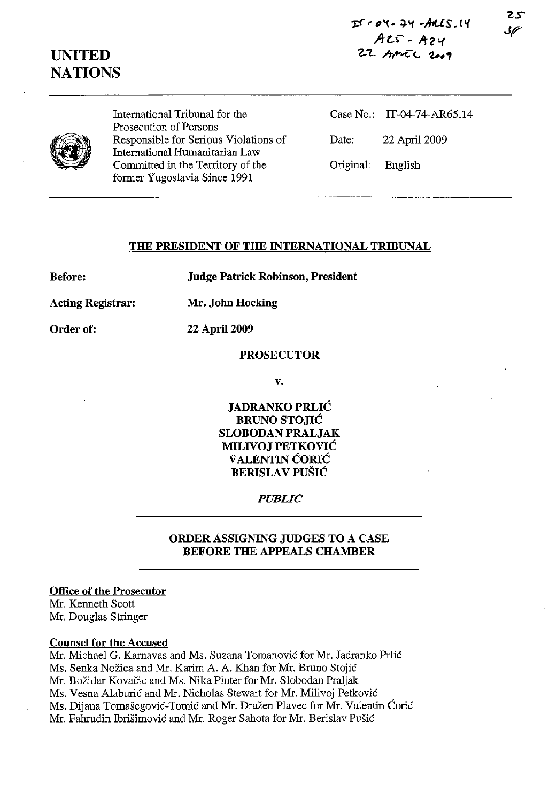



International Tribunal for the Prosecution of Persons Responsible for Serious Violations of International Humanitarian Law Committed in the Territory of the former Yugoslavia Since 1991

Case No.: IT-04-74-AR6S.14 Date: 22 April 2009 Original: English

#### **THE PRESIDENT OF THE INTERNATIONAL TRIBUNAL**

**Before:** 

**Judge Patrick Robinson, President** 

**Acting Registrar:** 

**Mr. John Hocking** 

**22 April 2009** 

**Order of:** 

**PROSECUTOR** 

**v.** 

**JADRANKO PRLIC BRUNO STOJIĆ SLOBODAN PRALJAK MILIVOJ PETKOVIC VALENTIN CORIC BERISLA V PUSIC** 

## *PUBLIC*

## **ORDER ASSIGNING JUDGES TO A CASE**  BEFORE THE APPEALS CHAMBER

**Office of the Prosecutor** 

Mr. Kenneth Scott Mr. Douglas Stringer

## **Counsel for the Accused**

Mr. Michael G. Karnavas and Ms. Suzana Tomanović for Mr. Jadranko Prlić Ms. Senka Nozica and Mr. Karim A. A. Khan for Mr. Bruno Stojie Mr. Božidar Kovačic and Ms. Nika Pinter for Mr. Slobodan Praljak Ms. Vesna Alaburić and Mr. Nicholas Stewart for Mr. Milivoj Petković Ms. Dijana Tomašegović-Tomić and Mr. Dražen Plavec for Mr. Valentin Ćorić Mr. Fahrudin Ibrišimović and Mr. Roger Sahota for Mr. Berislav Pušić